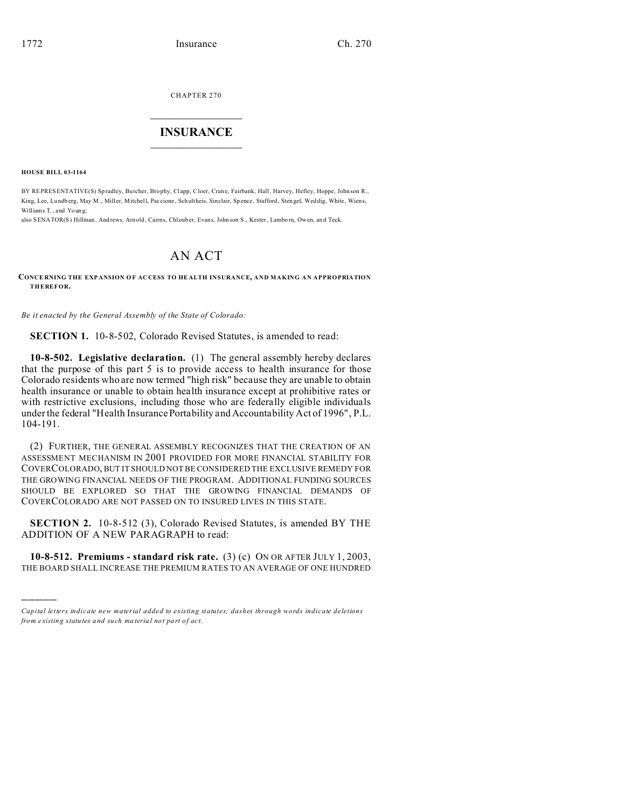CHAPTER 270  $\overline{\phantom{a}}$  , where  $\overline{\phantom{a}}$ 

### **INSURANCE**  $\_$   $\_$   $\_$   $\_$   $\_$   $\_$   $\_$   $\_$

**HOUSE BILL 03-1164**

)))))

BY REPRESENTATIVE(S) Spradley, Butcher, Brophy, Clapp, Cloer, Crane, Fairbank, Hall, Harvey, Hefley, Hoppe, Johnson R., King, Lee, Lu ndb erg, May M., Mill er, Mitchell, Paccione , Schultheis, Sinclair, Sp ence, Stafford, Sten gel, Weddig, White, Wiens, Williams T., and Youn g;

also SENATOR(S) Hillman, And rews, Arn old, Cairns, Chloub er, Evans, John son S., Kester, Lamborn, Owen, and Teck.

# AN ACT

#### **CONCE RNING THE EXP ANSION O F AC CESS TO HE ALTH INSURANCE, AND MAKING AN APPROPRIATION THEREFOR.**

*Be it enacted by the General Assembly of the State of Colorado:*

**SECTION 1.** 10-8-502, Colorado Revised Statutes, is amended to read:

**10-8-502. Legislative declaration.** (1) The general assembly hereby declares that the purpose of this part 5 is to provide access to health insurance for those Colorado residents who are now termed "high risk" because they are unable to obtain health insurance or unable to obtain health insurance except at prohibitive rates or with restrictive exclusions, including those who are federally eligible individuals under the federal "Health Insurance Portability and Accountability Act of 1996", P.L. 104-191.

(2) FURTHER, THE GENERAL ASSEMBLY RECOGNIZES THAT THE CREATION OF AN ASSESSMENT MECHANISM IN 2001 PROVIDED FOR MORE FINANCIAL STABILITY FOR COVERCOLORADO, BUT IT SHOULD NOT BE CONSIDERED THE EXCLUSIVE REMEDY FOR THE GROWING FINANCIAL NEEDS OF THE PROGRAM. ADDITIONAL FUNDING SOURCES SHOULD BE EXPLORED SO THAT THE GROWING FINANCIAL DEMANDS OF COVERCOLORADO ARE NOT PASSED ON TO INSURED LIVES IN THIS STATE.

**SECTION 2.** 10-8-512 (3), Colorado Revised Statutes, is amended BY THE ADDITION OF A NEW PARAGRAPH to read:

**10-8-512. Premiums - standard risk rate.** (3) (c) ON OR AFTER JULY 1, 2003, THE BOARD SHALL INCREASE THE PREMIUM RATES TO AN AVERAGE OF ONE HUNDRED

*Capital letters indicate new material added to existing statutes; dashes through words indicate deletions from e xistin g statu tes a nd such ma teria l no t pa rt of ac t.*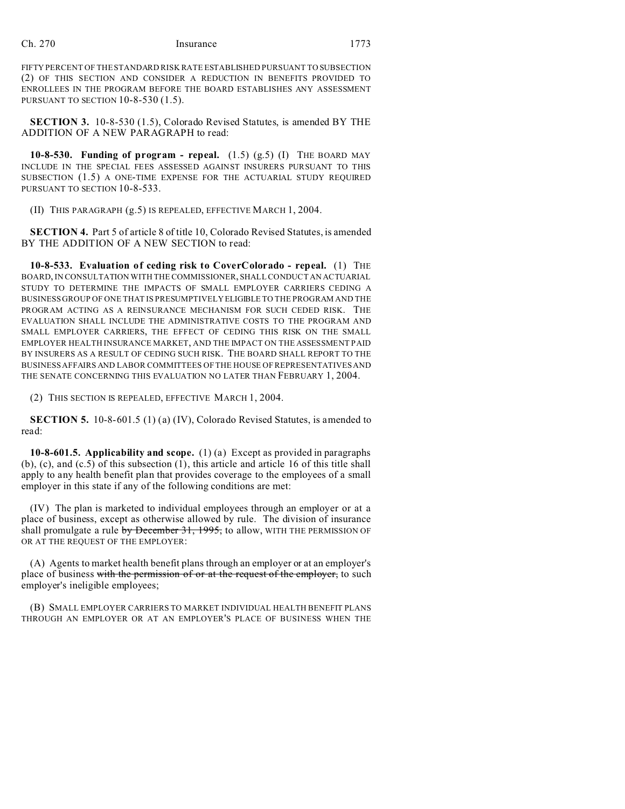FIFTY PERCENT OF THE STANDARD RISK RATE ESTABLISHED PURSUANT TO SUBSECTION (2) OF THIS SECTION AND CONSIDER A REDUCTION IN BENEFITS PROVIDED TO ENROLLEES IN THE PROGRAM BEFORE THE BOARD ESTABLISHES ANY ASSESSMENT PURSUANT TO SECTION 10-8-530 (1.5).

**SECTION 3.** 10-8-530 (1.5), Colorado Revised Statutes, is amended BY THE ADDITION OF A NEW PARAGRAPH to read:

**10-8-530. Funding of program - repeal.** (1.5) (g.5) (I) THE BOARD MAY INCLUDE IN THE SPECIAL FEES ASSESSED AGAINST INSURERS PURSUANT TO THIS SUBSECTION (1.5) A ONE-TIME EXPENSE FOR THE ACTUARIAL STUDY REQUIRED PURSUANT TO SECTION 10-8-533.

(II) THIS PARAGRAPH (g.5) IS REPEALED, EFFECTIVE MARCH 1, 2004.

**SECTION 4.** Part 5 of article 8 of title 10, Colorado Revised Statutes, is amended BY THE ADDITION OF A NEW SECTION to read:

**10-8-533. Evaluation of ceding risk to CoverColorado - repeal.** (1) THE BOARD, IN CONSULTATION WITH THE COMMISSIONER, SHALL CONDUCT AN ACTUARIAL STUDY TO DETERMINE THE IMPACTS OF SMALL EMPLOYER CARRIERS CEDING A BUSINESS GROUP OF ONE THAT IS PRESUMPTIVELYELIGIBLE TO THE PROGRAM AND THE PROGRAM ACTING AS A REINSURANCE MECHANISM FOR SUCH CEDED RISK. THE EVALUATION SHALL INCLUDE THE ADMINISTRATIVE COSTS TO THE PROGRAM AND SMALL EMPLOYER CARRIERS, THE EFFECT OF CEDING THIS RISK ON THE SMALL EMPLOYER HEALTH INSURANCE MARKET, AND THE IMPACT ON THE ASSESSMENT PAID BY INSURERS AS A RESULT OF CEDING SUCH RISK. THE BOARD SHALL REPORT TO THE BUSINESS AFFAIRS AND LABOR COMMITTEES OF THE HOUSE OF REPRESENTATIVES AND THE SENATE CONCERNING THIS EVALUATION NO LATER THAN FEBRUARY 1, 2004.

(2) THIS SECTION IS REPEALED, EFFECTIVE MARCH 1, 2004.

**SECTION 5.** 10-8-601.5 (1) (a) (IV), Colorado Revised Statutes, is amended to read:

**10-8-601.5. Applicability and scope.** (1) (a) Except as provided in paragraphs (b), (c), and (c.5) of this subsection (1), this article and article 16 of this title shall apply to any health benefit plan that provides coverage to the employees of a small employer in this state if any of the following conditions are met:

(IV) The plan is marketed to individual employees through an employer or at a place of business, except as otherwise allowed by rule. The division of insurance shall promulgate a rule by December 31, 1995, to allow, WITH THE PERMISSION OF OR AT THE REQUEST OF THE EMPLOYER:

(A) Agents to market health benefit plans through an employer or at an employer's place of business with the permission of or at the request of the employer, to such employer's ineligible employees;

(B) SMALL EMPLOYER CARRIERS TO MARKET INDIVIDUAL HEALTH BENEFIT PLANS THROUGH AN EMPLOYER OR AT AN EMPLOYER'S PLACE OF BUSINESS WHEN THE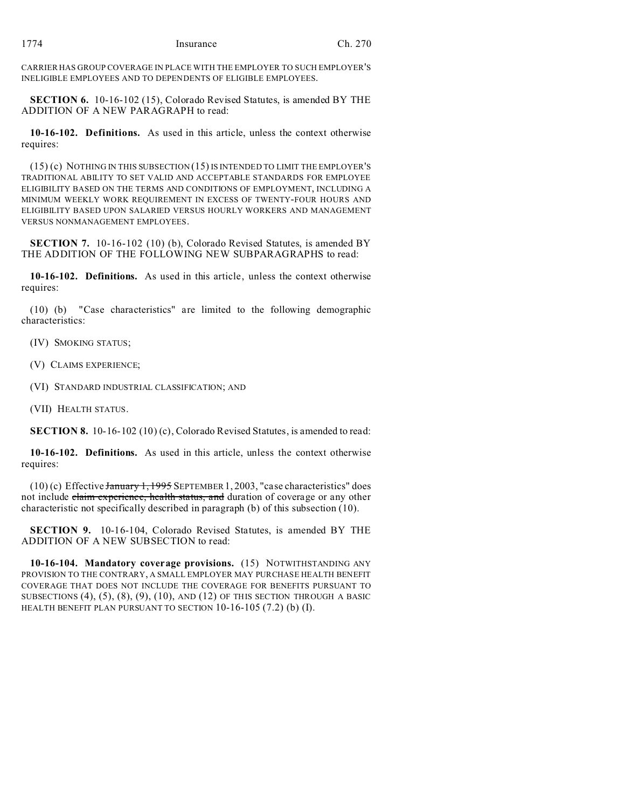CARRIER HAS GROUP COVERAGE IN PLACE WITH THE EMPLOYER TO SUCH EMPLOYER'S INELIGIBLE EMPLOYEES AND TO DEPENDENTS OF ELIGIBLE EMPLOYEES.

**SECTION 6.** 10-16-102 (15), Colorado Revised Statutes, is amended BY THE ADDITION OF A NEW PARAGRAPH to read:

**10-16-102. Definitions.** As used in this article, unless the context otherwise requires:

(15) (c) NOTHING IN THIS SUBSECTION (15) IS INTENDED TO LIMIT THE EMPLOYER'S TRADITIONAL ABILITY TO SET VALID AND ACCEPTABLE STANDARDS FOR EMPLOYEE ELIGIBILITY BASED ON THE TERMS AND CONDITIONS OF EMPLOYMENT, INCLUDING A MINIMUM WEEKLY WORK REQUIREMENT IN EXCESS OF TWENTY-FOUR HOURS AND ELIGIBILITY BASED UPON SALARIED VERSUS HOURLY WORKERS AND MANAGEMENT VERSUS NONMANAGEMENT EMPLOYEES.

**SECTION 7.** 10-16-102 (10) (b), Colorado Revised Statutes, is amended BY THE ADDITION OF THE FOLLOWING NEW SUBPARAGRAPHS to read:

**10-16-102. Definitions.** As used in this article, unless the context otherwise requires:

(10) (b) "Case characteristics" are limited to the following demographic characteristics:

(IV) SMOKING STATUS;

(V) CLAIMS EXPERIENCE;

(VI) STANDARD INDUSTRIAL CLASSIFICATION; AND

(VII) HEALTH STATUS.

**SECTION 8.** 10-16-102 (10) (c), Colorado Revised Statutes, is amended to read:

**10-16-102. Definitions.** As used in this article, unless the context otherwise requires:

 $(10)$  (c) Effective January 1, 1995 SEPTEMBER 1, 2003, "case characteristics" does not include claim experience, health status, and duration of coverage or any other characteristic not specifically described in paragraph (b) of this subsection (10).

**SECTION 9.** 10-16-104, Colorado Revised Statutes, is amended BY THE ADDITION OF A NEW SUBSECTION to read:

**10-16-104. Mandatory coverage provisions.** (15) NOTWITHSTANDING ANY PROVISION TO THE CONTRARY, A SMALL EMPLOYER MAY PURCHASE HEALTH BENEFIT COVERAGE THAT DOES NOT INCLUDE THE COVERAGE FOR BENEFITS PURSUANT TO SUBSECTIONS  $(4)$ ,  $(5)$ ,  $(8)$ ,  $(9)$ ,  $(10)$ , and  $(12)$  of this section through a basic HEALTH BENEFIT PLAN PURSUANT TO SECTION 10-16-105 (7.2) (b) (I).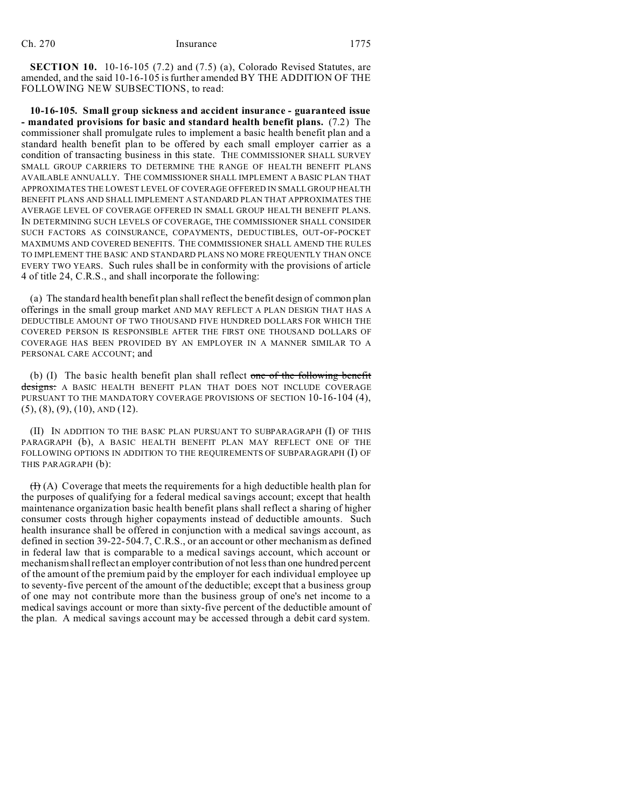**SECTION 10.** 10-16-105 (7.2) and (7.5) (a), Colorado Revised Statutes, are amended, and the said 10-16-105 is further amended BY THE ADDITION OF THE FOLLOWING NEW SUBSECTIONS, to read:

**10-16-105. Small group sickness and accident insurance - guaranteed issue - mandated provisions for basic and standard health benefit plans.** (7.2) The commissioner shall promulgate rules to implement a basic health benefit plan and a standard health benefit plan to be offered by each small employer carrier as a condition of transacting business in this state. THE COMMISSIONER SHALL SURVEY SMALL GROUP CARRIERS TO DETERMINE THE RANGE OF HEALTH BENEFIT PLANS AVAILABLE ANNUALLY. THE COMMISSIONER SHALL IMPLEMENT A BASIC PLAN THAT APPROXIMATES THE LOWEST LEVEL OF COVERAGE OFFERED IN SMALL GROUP HEALTH BENEFIT PLANS AND SHALL IMPLEMENT A STANDARD PLAN THAT APPROXIMATES THE AVERAGE LEVEL OF COVERAGE OFFERED IN SMALL GROUP HEALTH BENEFIT PLANS. IN DETERMINING SUCH LEVELS OF COVERAGE, THE COMMISSIONER SHALL CONSIDER SUCH FACTORS AS COINSURANCE, COPAYMENTS, DEDUCTIBLES, OUT-OF-POCKET MAXIMUMS AND COVERED BENEFITS. THE COMMISSIONER SHALL AMEND THE RULES TO IMPLEMENT THE BASIC AND STANDARD PLANS NO MORE FREQUENTLY THAN ONCE EVERY TWO YEARS. Such rules shall be in conformity with the provisions of article 4 of title 24, C.R.S., and shall incorporate the following:

(a) The standard health benefit plan shall reflect the benefit design of common plan offerings in the small group market AND MAY REFLECT A PLAN DESIGN THAT HAS A DEDUCTIBLE AMOUNT OF TWO THOUSAND FIVE HUNDRED DOLLARS FOR WHICH THE COVERED PERSON IS RESPONSIBLE AFTER THE FIRST ONE THOUSAND DOLLARS OF COVERAGE HAS BEEN PROVIDED BY AN EMPLOYER IN A MANNER SIMILAR TO A PERSONAL CARE ACCOUNT; and

(b) (I) The basic health benefit plan shall reflect one of the following benefit designs: A BASIC HEALTH BENEFIT PLAN THAT DOES NOT INCLUDE COVERAGE PURSUANT TO THE MANDATORY COVERAGE PROVISIONS OF SECTION 10-16-104 (4),  $(5)$ ,  $(8)$ ,  $(9)$ ,  $(10)$ ,  $AND(12)$ .

(II) IN ADDITION TO THE BASIC PLAN PURSUANT TO SUBPARAGRAPH (I) OF THIS PARAGRAPH (b), A BASIC HEALTH BENEFIT PLAN MAY REFLECT ONE OF THE FOLLOWING OPTIONS IN ADDITION TO THE REQUIREMENTS OF SUBPARAGRAPH (I) OF THIS PARAGRAPH (b):

 $(H)$  (A) Coverage that meets the requirements for a high deductible health plan for the purposes of qualifying for a federal medical savings account; except that health maintenance organization basic health benefit plans shall reflect a sharing of higher consumer costs through higher copayments instead of deductible amounts. Such health insurance shall be offered in conjunction with a medical savings account, as defined in section 39-22-504.7, C.R.S., or an account or other mechanism as defined in federal law that is comparable to a medical savings account, which account or mechanism shall reflect an employer contribution of not less than one hundred percent of the amount of the premium paid by the employer for each individual employee up to seventy-five percent of the amount of the deductible; except that a business group of one may not contribute more than the business group of one's net income to a medical savings account or more than sixty-five percent of the deductible amount of the plan. A medical savings account may be accessed through a debit card system.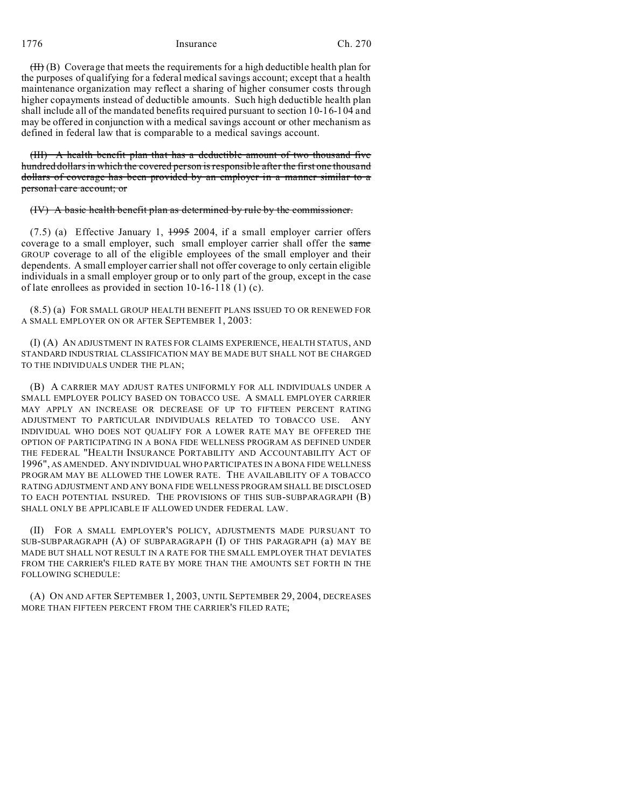1776 Insurance Ch. 270

 $(H)$  (B) Coverage that meets the requirements for a high deductible health plan for the purposes of qualifying for a federal medical savings account; except that a health maintenance organization may reflect a sharing of higher consumer costs through higher copayments instead of deductible amounts. Such high deductible health plan shall include all of the mandated benefits required pursuant to section 10-16-104 and may be offered in conjunction with a medical savings account or other mechanism as defined in federal law that is comparable to a medical savings account.

(III) A health benefit plan that has a deductible amount of two thousand five hundred dollars in which the covered person is responsible after the first one thousand dollars of coverage has been provided by an employer in a manner similar to a personal care account; or

(IV) A basic health benefit plan as determined by rule by the commissioner.

 $(7.5)$  (a) Effective January 1,  $1.995$  2004, if a small employer carrier offers coverage to a small employer, such small employer carrier shall offer the same GROUP coverage to all of the eligible employees of the small employer and their dependents. A small employer carrier shall not offer coverage to only certain eligible individuals in a small employer group or to only part of the group, except in the case of late enrollees as provided in section 10-16-118 (1) (c).

(8.5) (a) FOR SMALL GROUP HEALTH BENEFIT PLANS ISSUED TO OR RENEWED FOR A SMALL EMPLOYER ON OR AFTER SEPTEMBER 1, 2003:

(I) (A) AN ADJUSTMENT IN RATES FOR CLAIMS EXPERIENCE, HEALTH STATUS, AND STANDARD INDUSTRIAL CLASSIFICATION MAY BE MADE BUT SHALL NOT BE CHARGED TO THE INDIVIDUALS UNDER THE PLAN;

(B) A CARRIER MAY ADJUST RATES UNIFORMLY FOR ALL INDIVIDUALS UNDER A SMALL EMPLOYER POLICY BASED ON TOBACCO USE. A SMALL EMPLOYER CARRIER MAY APPLY AN INCREASE OR DECREASE OF UP TO FIFTEEN PERCENT RATING ADJUSTMENT TO PARTICULAR INDIVIDUALS RELATED TO TOBACCO USE. ANY INDIVIDUAL WHO DOES NOT QUALIFY FOR A LOWER RATE MAY BE OFFERED THE OPTION OF PARTICIPATING IN A BONA FIDE WELLNESS PROGRAM AS DEFINED UNDER THE FEDERAL "HEALTH INSURANCE PORTABILITY AND ACCOUNTABILITY ACT OF 1996", AS AMENDED. ANY INDIVIDUAL WHO PARTICIPATES IN A BONA FIDE WELLNESS PROGRAM MAY BE ALLOWED THE LOWER RATE. THE AVAILABILITY OF A TOBACCO RATING ADJUSTMENT AND ANY BONA FIDE WELLNESS PROGRAM SHALL BE DISCLOSED TO EACH POTENTIAL INSURED. THE PROVISIONS OF THIS SUB-SUBPARAGRAPH (B) SHALL ONLY BE APPLICABLE IF ALLOWED UNDER FEDERAL LAW.

(II) FOR A SMALL EMPLOYER'S POLICY, ADJUSTMENTS MADE PURSUANT TO SUB-SUBPARAGRAPH (A) OF SUBPARAGRAPH (I) OF THIS PARAGRAPH (a) MAY BE MADE BUT SHALL NOT RESULT IN A RATE FOR THE SMALL EMPLOYER THAT DEVIATES FROM THE CARRIER'S FILED RATE BY MORE THAN THE AMOUNTS SET FORTH IN THE FOLLOWING SCHEDULE:

(A) ON AND AFTER SEPTEMBER 1, 2003, UNTIL SEPTEMBER 29, 2004, DECREASES MORE THAN FIFTEEN PERCENT FROM THE CARRIER'S FILED RATE;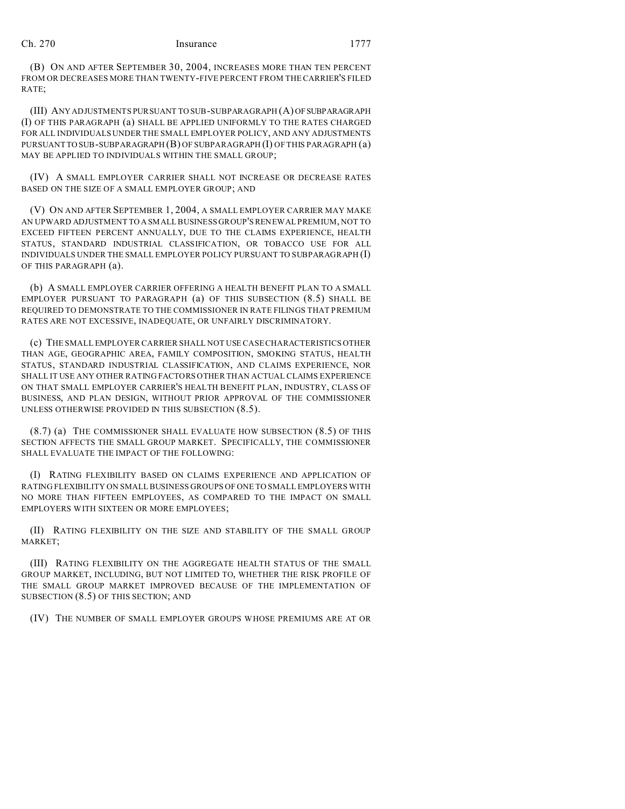(B) ON AND AFTER SEPTEMBER 30, 2004, INCREASES MORE THAN TEN PERCENT FROM OR DECREASES MORE THAN TWENTY-FIVE PERCENT FROM THE CARRIER'S FILED RATE;

(III) ANY ADJUSTMENTS PURSUANT TO SUB-SUBPARAGRAPH (A) OFSUBPARAGRAPH (I) OF THIS PARAGRAPH (a) SHALL BE APPLIED UNIFORMLY TO THE RATES CHARGED FOR ALL INDIVIDUALS UNDER THE SMALL EMPLOYER POLICY, AND ANY ADJUSTMENTS PURSUANT TO SUB-SUBPARAGRAPH (B) OF SUBPARAGRAPH (I) OF THIS PARAGRAPH (a) MAY BE APPLIED TO INDIVIDUALS WITHIN THE SMALL GROUP;

(IV) A SMALL EMPLOYER CARRIER SHALL NOT INCREASE OR DECREASE RATES BASED ON THE SIZE OF A SMALL EMPLOYER GROUP; AND

(V) ON AND AFTER SEPTEMBER 1, 2004, A SMALL EMPLOYER CARRIER MAY MAKE AN UPWARD ADJUSTMENT TO A SMALL BUSINESS GROUP'S RENEWAL PREMIUM, NOT TO EXCEED FIFTEEN PERCENT ANNUALLY, DUE TO THE CLAIMS EXPERIENCE, HEALTH STATUS, STANDARD INDUSTRIAL CLASSIFICATION, OR TOBACCO USE FOR ALL INDIVIDUALS UNDER THE SMALL EMPLOYER POLICY PURSUANT TO SUBPARAGRAPH (I) OF THIS PARAGRAPH (a).

(b) A SMALL EMPLOYER CARRIER OFFERING A HEALTH BENEFIT PLAN TO A SMALL EMPLOYER PURSUANT TO PARAGRAPH (a) OF THIS SUBSECTION (8.5) SHALL BE REQUIRED TO DEMONSTRATE TO THE COMMISSIONER IN RATE FILINGS THAT PREMIUM RATES ARE NOT EXCESSIVE, INADEQUATE, OR UNFAIRLY DISCRIMINATORY.

(c) THE SMALL EMPLOYER CARRIER SHALL NOT USE CASE CHARACTERISTICS OTHER THAN AGE, GEOGRAPHIC AREA, FAMILY COMPOSITION, SMOKING STATUS, HEALTH STATUS, STANDARD INDUSTRIAL CLASSIFICATION, AND CLAIMS EXPERIENCE, NOR SHALL IT USE ANY OTHER RATING FACTORS OTHER THAN ACTUAL CLAIMS EXPERIENCE ON THAT SMALL EMPLOYER CARRIER'S HEALTH BENEFIT PLAN, INDUSTRY, CLASS OF BUSINESS, AND PLAN DESIGN, WITHOUT PRIOR APPROVAL OF THE COMMISSIONER UNLESS OTHERWISE PROVIDED IN THIS SUBSECTION (8.5).

(8.7) (a) THE COMMISSIONER SHALL EVALUATE HOW SUBSECTION (8.5) OF THIS SECTION AFFECTS THE SMALL GROUP MARKET. SPECIFICALLY, THE COMMISSIONER SHALL EVALUATE THE IMPACT OF THE FOLLOWING:

(I) RATING FLEXIBILITY BASED ON CLAIMS EXPERIENCE AND APPLICATION OF RATING FLEXIBILITY ON SMALL BUSINESS GROUPS OF ONE TO SMALL EMPLOYERS WITH NO MORE THAN FIFTEEN EMPLOYEES, AS COMPARED TO THE IMPACT ON SMALL EMPLOYERS WITH SIXTEEN OR MORE EMPLOYEES;

(II) RATING FLEXIBILITY ON THE SIZE AND STABILITY OF THE SMALL GROUP MARKET;

(III) RATING FLEXIBILITY ON THE AGGREGATE HEALTH STATUS OF THE SMALL GROUP MARKET, INCLUDING, BUT NOT LIMITED TO, WHETHER THE RISK PROFILE OF THE SMALL GROUP MARKET IMPROVED BECAUSE OF THE IMPLEMENTATION OF SUBSECTION (8.5) OF THIS SECTION; AND

(IV) THE NUMBER OF SMALL EMPLOYER GROUPS WHOSE PREMIUMS ARE AT OR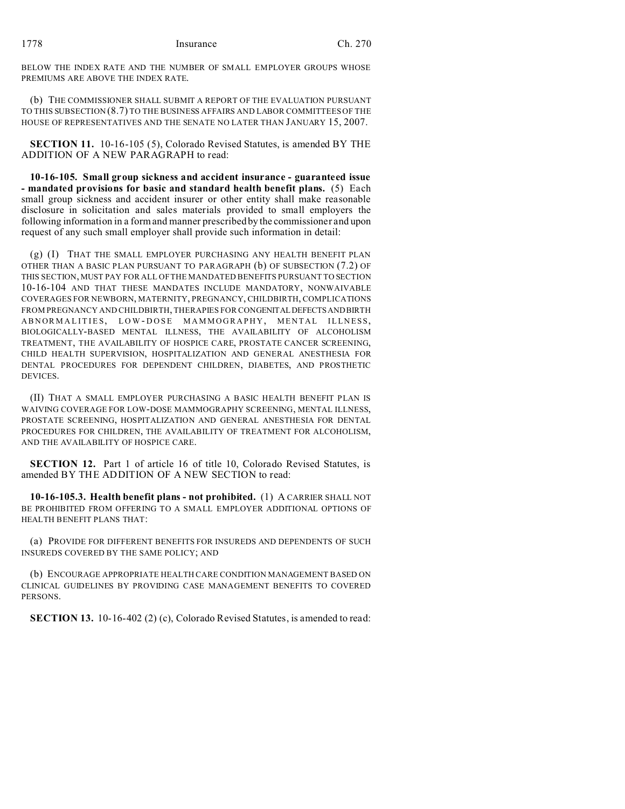BELOW THE INDEX RATE AND THE NUMBER OF SMALL EMPLOYER GROUPS WHOSE PREMIUMS ARE ABOVE THE INDEX RATE.

(b) THE COMMISSIONER SHALL SUBMIT A REPORT OF THE EVALUATION PURSUANT TO THIS SUBSECTION (8.7) TO THE BUSINESS AFFAIRS AND LABOR COMMITTEES OF THE HOUSE OF REPRESENTATIVES AND THE SENATE NO LATER THAN JANUARY 15, 2007.

**SECTION 11.** 10-16-105 (5), Colorado Revised Statutes, is amended BY THE ADDITION OF A NEW PARAGRAPH to read:

**10-16-105. Small group sickness and accident insurance - guaranteed issue - mandated provisions for basic and standard health benefit plans.** (5) Each small group sickness and accident insurer or other entity shall make reasonable disclosure in solicitation and sales materials provided to small employers the following information in a form and manner prescribed by the commissioner and upon request of any such small employer shall provide such information in detail:

(g) (I) THAT THE SMALL EMPLOYER PURCHASING ANY HEALTH BENEFIT PLAN OTHER THAN A BASIC PLAN PURSUANT TO PARAGRAPH (b) OF SUBSECTION (7.2) OF THIS SECTION, MUST PAY FOR ALL OF THE MANDATED BENEFITS PURSUANT TO SECTION 10-16-104 AND THAT THESE MANDATES INCLUDE MANDATORY, NONWAIVABLE COVERAGES FOR NEWBORN, MATERNITY, PREGNANCY, CHILDBIRTH, COMPLICATIONS FROM PREGNANCY AND CHILDBIRTH, THERAPIES FOR CONGENITALDEFECTSANDBIRTH ABNORMALITIES, LOW - DOSE MAMMOGRAPHY, MENTAL ILLNESS, BIOLOGICALLY-BASED MENTAL ILLNESS, THE AVAILABILITY OF ALCOHOLISM TREATMENT, THE AVAILABILITY OF HOSPICE CARE, PROSTATE CANCER SCREENING, CHILD HEALTH SUPERVISION, HOSPITALIZATION AND GENERAL ANESTHESIA FOR DENTAL PROCEDURES FOR DEPENDENT CHILDREN, DIABETES, AND PROSTHETIC DEVICES.

(II) THAT A SMALL EMPLOYER PURCHASING A BASIC HEALTH BENEFIT PLAN IS WAIVING COVERAGE FOR LOW-DOSE MAMMOGRAPHY SCREENING, MENTAL ILLNESS, PROSTATE SCREENING, HOSPITALIZATION AND GENERAL ANESTHESIA FOR DENTAL PROCEDURES FOR CHILDREN, THE AVAILABILITY OF TREATMENT FOR ALCOHOLISM, AND THE AVAILABILITY OF HOSPICE CARE.

**SECTION 12.** Part 1 of article 16 of title 10, Colorado Revised Statutes, is amended BY THE ADDITION OF A NEW SECTION to read:

**10-16-105.3. Health benefit plans - not prohibited.** (1) A CARRIER SHALL NOT BE PROHIBITED FROM OFFERING TO A SMALL EMPLOYER ADDITIONAL OPTIONS OF HEALTH BENEFIT PLANS THAT:

(a) PROVIDE FOR DIFFERENT BENEFITS FOR INSUREDS AND DEPENDENTS OF SUCH INSUREDS COVERED BY THE SAME POLICY; AND

(b) ENCOURAGE APPROPRIATE HEALTH CARE CONDITION MANAGEMENT BASED ON CLINICAL GUIDELINES BY PROVIDING CASE MANAGEMENT BENEFITS TO COVERED PERSONS.

**SECTION 13.** 10-16-402 (2) (c), Colorado Revised Statutes, is amended to read: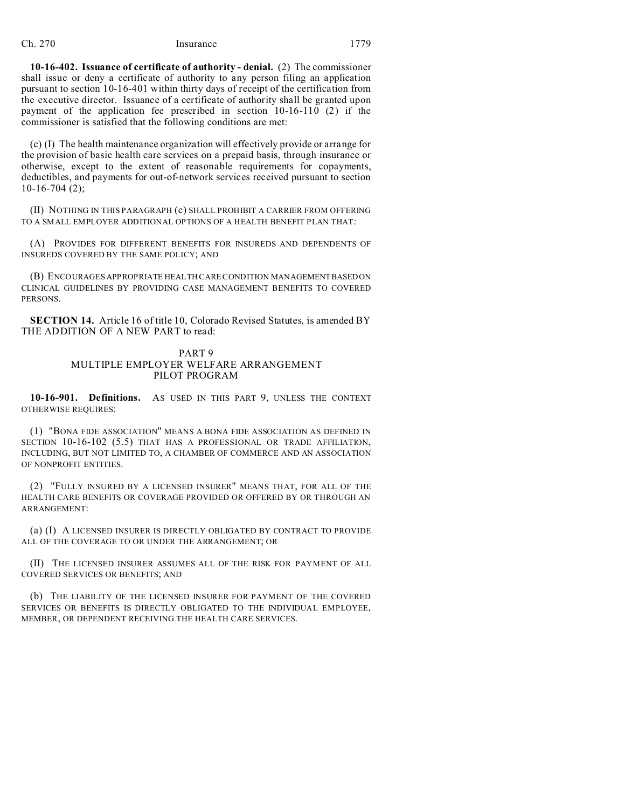**10-16-402. Issuance of certificate of authority - denial.** (2) The commissioner shall issue or deny a certificate of authority to any person filing an application pursuant to section 10-16-401 within thirty days of receipt of the certification from the executive director. Issuance of a certificate of authority shall be granted upon payment of the application fee prescribed in section 10-16-110 (2) if the commissioner is satisfied that the following conditions are met:

(c) (I) The health maintenance organization will effectively provide or arrange for the provision of basic health care services on a prepaid basis, through insurance or otherwise, except to the extent of reasonable requirements for copayments, deductibles, and payments for out-of-network services received pursuant to section 10-16-704 (2);

(II) NOTHING IN THIS PARAGRAPH (c) SHALL PROHIBIT A CARRIER FROM OFFERING TO A SMALL EMPLOYER ADDITIONAL OPTIONS OF A HEALTH BENEFIT PLAN THAT:

(A) PROVIDES FOR DIFFERENT BENEFITS FOR INSUREDS AND DEPENDENTS OF INSUREDS COVERED BY THE SAME POLICY; AND

(B) ENCOURAGES APPROPRIATE HEALTH CARE CONDITION MANAGEMENTBASEDON CLINICAL GUIDELINES BY PROVIDING CASE MANAGEMENT BENEFITS TO COVERED PERSONS.

**SECTION 14.** Article 16 of title 10, Colorado Revised Statutes, is amended BY THE ADDITION OF A NEW PART to read:

## PART 9 MULTIPLE EMPLOYER WELFARE ARRANGEMENT PILOT PROGRAM

**10-16-901. Definitions.** AS USED IN THIS PART 9, UNLESS THE CONTEXT OTHERWISE REQUIRES:

(1) "BONA FIDE ASSOCIATION" MEANS A BONA FIDE ASSOCIATION AS DEFINED IN SECTION 10-16-102 (5.5) THAT HAS A PROFESSIONAL OR TRADE AFFILIATION, INCLUDING, BUT NOT LIMITED TO, A CHAMBER OF COMMERCE AND AN ASSOCIATION OF NONPROFIT ENTITIES.

(2) "FULLY INSURED BY A LICENSED INSURER" MEANS THAT, FOR ALL OF THE HEALTH CARE BENEFITS OR COVERAGE PROVIDED OR OFFERED BY OR THROUGH AN ARRANGEMENT:

(a) (I) A LICENSED INSURER IS DIRECTLY OBLIGATED BY CONTRACT TO PROVIDE ALL OF THE COVERAGE TO OR UNDER THE ARRANGEMENT; OR

(II) THE LICENSED INSURER ASSUMES ALL OF THE RISK FOR PAYMENT OF ALL COVERED SERVICES OR BENEFITS; AND

(b) THE LIABILITY OF THE LICENSED INSURER FOR PAYMENT OF THE COVERED SERVICES OR BENEFITS IS DIRECTLY OBLIGATED TO THE INDIVIDUAL EMPLOYEE, MEMBER, OR DEPENDENT RECEIVING THE HEALTH CARE SERVICES.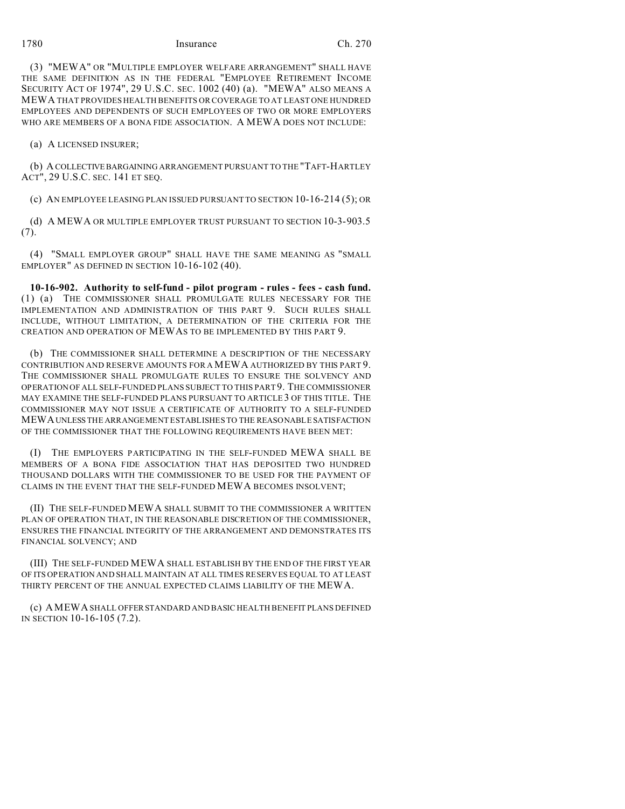1780 Insurance Ch. 270

(3) "MEWA" OR "MULTIPLE EMPLOYER WELFARE ARRANGEMENT" SHALL HAVE THE SAME DEFINITION AS IN THE FEDERAL "EMPLOYEE RETIREMENT INCOME SECURITY ACT OF 1974", 29 U.S.C. SEC. 1002 (40) (a). "MEWA" ALSO MEANS A MEWA THAT PROVIDES HEALTH BENEFITS OR COVERAGE TO AT LEAST ONE HUNDRED EMPLOYEES AND DEPENDENTS OF SUCH EMPLOYEES OF TWO OR MORE EMPLOYERS WHO ARE MEMBERS OF A BONA FIDE ASSOCIATION. A MEWA DOES NOT INCLUDE:

(a) A LICENSED INSURER;

(b) A COLLECTIVEBARGAINING ARRANGEMENT PURSUANT TO THE "TAFT-HARTLEY ACT", 29 U.S.C. SEC. 141 ET SEQ.

(c) AN EMPLOYEE LEASING PLAN ISSUED PURSUANT TO SECTION 10-16-214 (5); OR

(d) A MEWA OR MULTIPLE EMPLOYER TRUST PURSUANT TO SECTION 10-3-903.5 (7).

(4) "SMALL EMPLOYER GROUP" SHALL HAVE THE SAME MEANING AS "SMALL EMPLOYER" AS DEFINED IN SECTION 10-16-102 (40).

**10-16-902. Authority to self-fund - pilot program - rules - fees - cash fund.** (1) (a) THE COMMISSIONER SHALL PROMULGATE RULES NECESSARY FOR THE IMPLEMENTATION AND ADMINISTRATION OF THIS PART 9. SUCH RULES SHALL INCLUDE, WITHOUT LIMITATION, A DETERMINATION OF THE CRITERIA FOR THE CREATION AND OPERATION OF MEWAS TO BE IMPLEMENTED BY THIS PART 9.

(b) THE COMMISSIONER SHALL DETERMINE A DESCRIPTION OF THE NECESSARY CONTRIBUTION AND RESERVE AMOUNTS FOR A MEWA AUTHORIZED BY THIS PART 9. THE COMMISSIONER SHALL PROMULGATE RULES TO ENSURE THE SOLVENCY AND OPERATION OF ALL SELF-FUNDED PLANS SUBJECT TO THIS PART 9. THE COMMISSIONER MAY EXAMINE THE SELF-FUNDED PLANS PURSUANT TO ARTICLE 3 OF THIS TITLE. THE COMMISSIONER MAY NOT ISSUE A CERTIFICATE OF AUTHORITY TO A SELF-FUNDED MEWAUNLESS THE ARRANGEMENT ESTABLISHES TO THE REASONABLE SATISFACTION OF THE COMMISSIONER THAT THE FOLLOWING REQUIREMENTS HAVE BEEN MET:

(I) THE EMPLOYERS PARTICIPATING IN THE SELF-FUNDED MEWA SHALL BE MEMBERS OF A BONA FIDE ASSOCIATION THAT HAS DEPOSITED TWO HUNDRED THOUSAND DOLLARS WITH THE COMMISSIONER TO BE USED FOR THE PAYMENT OF CLAIMS IN THE EVENT THAT THE SELF-FUNDED MEWA BECOMES INSOLVENT;

(II) THE SELF-FUNDED MEWA SHALL SUBMIT TO THE COMMISSIONER A WRITTEN PLAN OF OPERATION THAT, IN THE REASONABLE DISCRETION OF THE COMMISSIONER, ENSURES THE FINANCIAL INTEGRITY OF THE ARRANGEMENT AND DEMONSTRATES ITS FINANCIAL SOLVENCY; AND

(III) THE SELF-FUNDED MEWA SHALL ESTABLISH BY THE END OF THE FIRST YEAR OF ITS OPERATION AND SHALL MAINTAIN AT ALL TIMES RESERVES EQUAL TO AT LEAST THIRTY PERCENT OF THE ANNUAL EXPECTED CLAIMS LIABILITY OF THE MEWA.

(c) AMEWA SHALL OFFERSTANDARD AND BASIC HEALTH BENEFIT PLANS DEFINED IN SECTION 10-16-105 (7.2).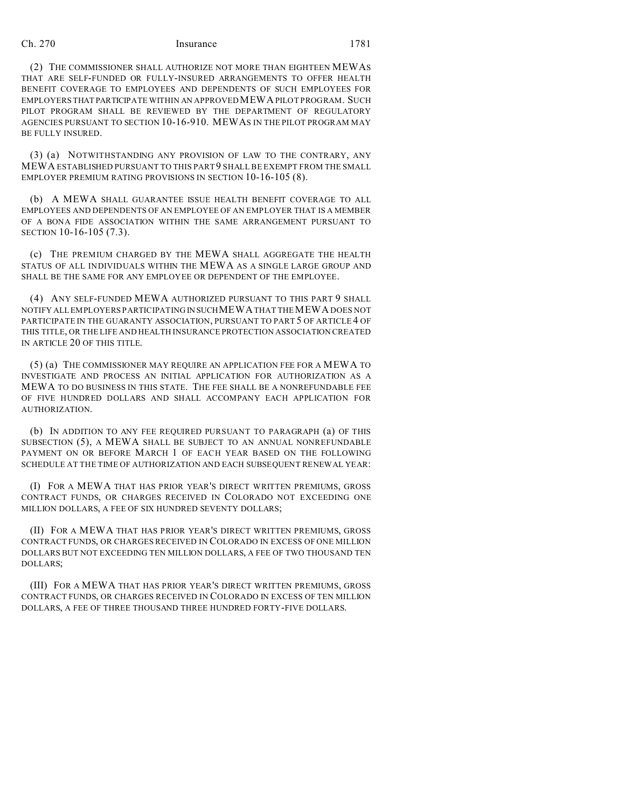(2) THE COMMISSIONER SHALL AUTHORIZE NOT MORE THAN EIGHTEEN MEWAS THAT ARE SELF-FUNDED OR FULLY-INSURED ARRANGEMENTS TO OFFER HEALTH BENEFIT COVERAGE TO EMPLOYEES AND DEPENDENTS OF SUCH EMPLOYEES FOR EMPLOYERS THAT PARTICIPATE WITHIN AN APPROVED MEWA PILOT PROGRAM. SUCH PILOT PROGRAM SHALL BE REVIEWED BY THE DEPARTMENT OF REGULATORY AGENCIES PURSUANT TO SECTION 10-16-910. MEWAS IN THE PILOT PROGRAM MAY BE FULLY INSURED.

(3) (a) NOTWITHSTANDING ANY PROVISION OF LAW TO THE CONTRARY, ANY MEWA ESTABLISHED PURSUANT TO THIS PART 9 SHALL BE EXEMPT FROM THE SMALL EMPLOYER PREMIUM RATING PROVISIONS IN SECTION 10-16-105 (8).

(b) A MEWA SHALL GUARANTEE ISSUE HEALTH BENEFIT COVERAGE TO ALL EMPLOYEES AND DEPENDENTS OF AN EMPLOYEE OF AN EMPLOYER THAT IS A MEMBER OF A BONA FIDE ASSOCIATION WITHIN THE SAME ARRANGEMENT PURSUANT TO SECTION 10-16-105 (7.3).

(c) THE PREMIUM CHARGED BY THE MEWA SHALL AGGREGATE THE HEALTH STATUS OF ALL INDIVIDUALS WITHIN THE MEWA AS A SINGLE LARGE GROUP AND SHALL BE THE SAME FOR ANY EMPLOYEE OR DEPENDENT OF THE EMPLOYEE.

(4) ANY SELF-FUNDED MEWA AUTHORIZED PURSUANT TO THIS PART 9 SHALL NOTIFY ALL EMPLOYERS PARTICIPATING IN SUCHMEWA THAT THE MEWA DOES NOT PARTICIPATE IN THE GUARANTY ASSOCIATION, PURSUANT TO PART 5 OF ARTICLE 4 OF THIS TITLE, OR THE LIFE AND HEALTH INSURANCE PROTECTION ASSOCIATION CREATED IN ARTICLE 20 OF THIS TITLE.

(5) (a) THE COMMISSIONER MAY REQUIRE AN APPLICATION FEE FOR A MEWA TO INVESTIGATE AND PROCESS AN INITIAL APPLICATION FOR AUTHORIZATION AS A MEWA TO DO BUSINESS IN THIS STATE. THE FEE SHALL BE A NONREFUNDABLE FEE OF FIVE HUNDRED DOLLARS AND SHALL ACCOMPANY EACH APPLICATION FOR AUTHORIZATION.

(b) IN ADDITION TO ANY FEE REQUIRED PURSUANT TO PARAGRAPH (a) OF THIS SUBSECTION (5), A MEWA SHALL BE SUBJECT TO AN ANNUAL NONREFUNDABLE PAYMENT ON OR BEFORE MARCH 1 OF EACH YEAR BASED ON THE FOLLOWING SCHEDULE AT THE TIME OF AUTHORIZATION AND EACH SUBSEQUENT RENEWAL YEAR:

(I) FOR A MEWA THAT HAS PRIOR YEAR'S DIRECT WRITTEN PREMIUMS, GROSS CONTRACT FUNDS, OR CHARGES RECEIVED IN COLORADO NOT EXCEEDING ONE MILLION DOLLARS, A FEE OF SIX HUNDRED SEVENTY DOLLARS;

(II) FOR A MEWA THAT HAS PRIOR YEAR'S DIRECT WRITTEN PREMIUMS, GROSS CONTRACT FUNDS, OR CHARGES RECEIVED IN COLORADO IN EXCESS OF ONE MILLION DOLLARS BUT NOT EXCEEDING TEN MILLION DOLLARS, A FEE OF TWO THOUSAND TEN DOLLARS;

(III) FOR A MEWA THAT HAS PRIOR YEAR'S DIRECT WRITTEN PREMIUMS, GROSS CONTRACT FUNDS, OR CHARGES RECEIVED IN COLORADO IN EXCESS OF TEN MILLION DOLLARS, A FEE OF THREE THOUSAND THREE HUNDRED FORTY-FIVE DOLLARS.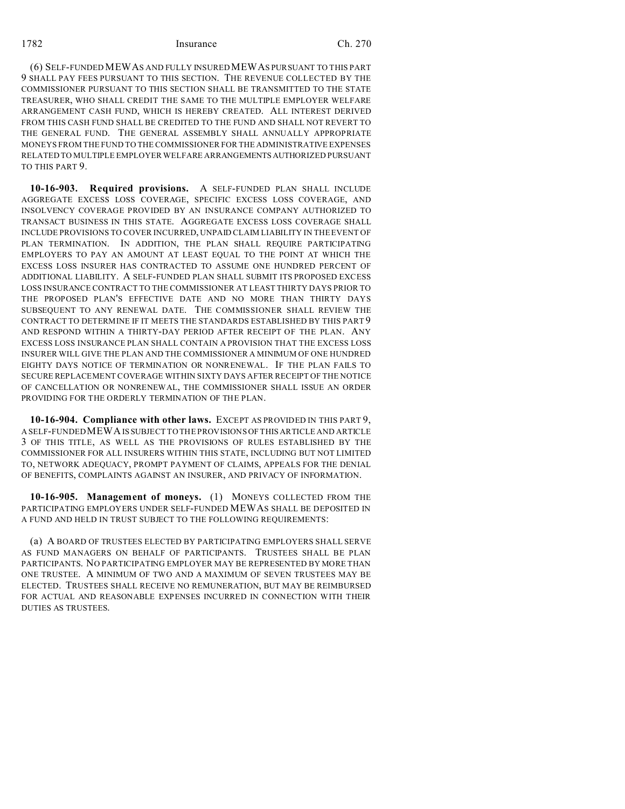1782 Insurance Ch. 270

(6) SELF-FUNDED MEWAS AND FULLY INSURED MEWAS PURSUANT TO THIS PART 9 SHALL PAY FEES PURSUANT TO THIS SECTION. THE REVENUE COLLECTED BY THE COMMISSIONER PURSUANT TO THIS SECTION SHALL BE TRANSMITTED TO THE STATE TREASURER, WHO SHALL CREDIT THE SAME TO THE MULTIPLE EMPLOYER WELFARE ARRANGEMENT CASH FUND, WHICH IS HEREBY CREATED. ALL INTEREST DERIVED FROM THIS CASH FUND SHALL BE CREDITED TO THE FUND AND SHALL NOT REVERT TO THE GENERAL FUND. THE GENERAL ASSEMBLY SHALL ANNUALLY APPROPRIATE MONEYS FROM THE FUND TO THE COMMISSIONER FOR THE ADMINISTRATIVE EXPENSES RELATED TO MULTIPLE EMPLOYER WELFARE ARRANGEMENTS AUTHORIZED PURSUANT TO THIS PART 9.

**10-16-903. Required provisions.** A SELF-FUNDED PLAN SHALL INCLUDE AGGREGATE EXCESS LOSS COVERAGE, SPECIFIC EXCESS LOSS COVERAGE, AND INSOLVENCY COVERAGE PROVIDED BY AN INSURANCE COMPANY AUTHORIZED TO TRANSACT BUSINESS IN THIS STATE. AGGREGATE EXCESS LOSS COVERAGE SHALL INCLUDE PROVISIONS TO COVER INCURRED, UNPAID CLAIM LIABILITY IN THE EVENT OF PLAN TERMINATION. IN ADDITION, THE PLAN SHALL REQUIRE PARTICIPATING EMPLOYERS TO PAY AN AMOUNT AT LEAST EQUAL TO THE POINT AT WHICH THE EXCESS LOSS INSURER HAS CONTRACTED TO ASSUME ONE HUNDRED PERCENT OF ADDITIONAL LIABILITY. A SELF-FUNDED PLAN SHALL SUBMIT ITS PROPOSED EXCESS LOSS INSURANCE CONTRACT TO THE COMMISSIONER AT LEAST THIRTY DAYS PRIOR TO THE PROPOSED PLAN'S EFFECTIVE DATE AND NO MORE THAN THIRTY DAYS SUBSEQUENT TO ANY RENEWAL DATE. THE COMMISSIONER SHALL REVIEW THE CONTRACT TO DETERMINE IF IT MEETS THE STANDARDS ESTABLISHED BY THIS PART 9 AND RESPOND WITHIN A THIRTY-DAY PERIOD AFTER RECEIPT OF THE PLAN. ANY EXCESS LOSS INSURANCE PLAN SHALL CONTAIN A PROVISION THAT THE EXCESS LOSS INSURER WILL GIVE THE PLAN AND THE COMMISSIONER A MINIMUM OF ONE HUNDRED EIGHTY DAYS NOTICE OF TERMINATION OR NONRENEWAL. IF THE PLAN FAILS TO SECURE REPLACEMENT COVERAGE WITHIN SIXTY DAYS AFTER RECEIPT OF THE NOTICE OF CANCELLATION OR NONRENEWAL, THE COMMISSIONER SHALL ISSUE AN ORDER PROVIDING FOR THE ORDERLY TERMINATION OF THE PLAN.

**10-16-904. Compliance with other laws.** EXCEPT AS PROVIDED IN THIS PART 9, A SELF-FUNDED MEWA IS SUBJECT TO THE PROVISIONS OF THIS ARTICLE AND ARTICLE 3 OF THIS TITLE, AS WELL AS THE PROVISIONS OF RULES ESTABLISHED BY THE COMMISSIONER FOR ALL INSURERS WITHIN THIS STATE, INCLUDING BUT NOT LIMITED TO, NETWORK ADEQUACY, PROMPT PAYMENT OF CLAIMS, APPEALS FOR THE DENIAL OF BENEFITS, COMPLAINTS AGAINST AN INSURER, AND PRIVACY OF INFORMATION.

**10-16-905. Management of moneys.** (1) MONEYS COLLECTED FROM THE PARTICIPATING EMPLOYERS UNDER SELF-FUNDED MEWAS SHALL BE DEPOSITED IN A FUND AND HELD IN TRUST SUBJECT TO THE FOLLOWING REQUIREMENTS:

(a) A BOARD OF TRUSTEES ELECTED BY PARTICIPATING EMPLOYERS SHALL SERVE AS FUND MANAGERS ON BEHALF OF PARTICIPANTS. TRUSTEES SHALL BE PLAN PARTICIPANTS. NO PARTICIPATING EMPLOYER MAY BE REPRESENTED BY MORE THAN ONE TRUSTEE. A MINIMUM OF TWO AND A MAXIMUM OF SEVEN TRUSTEES MAY BE ELECTED. TRUSTEES SHALL RECEIVE NO REMUNERATION, BUT MAY BE REIMBURSED FOR ACTUAL AND REASONABLE EXPENSES INCURRED IN CONNECTION WITH THEIR DUTIES AS TRUSTEES.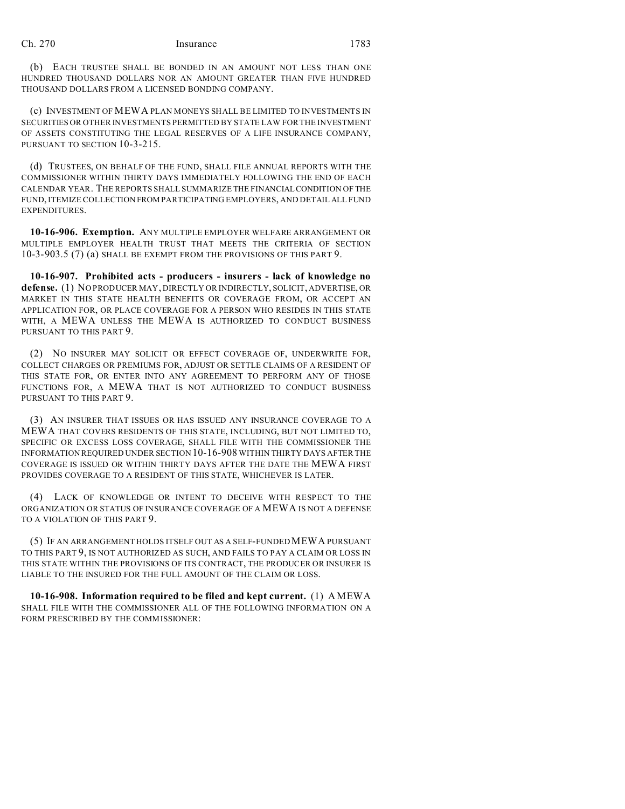(b) EACH TRUSTEE SHALL BE BONDED IN AN AMOUNT NOT LESS THAN ONE HUNDRED THOUSAND DOLLARS NOR AN AMOUNT GREATER THAN FIVE HUNDRED THOUSAND DOLLARS FROM A LICENSED BONDING COMPANY.

(c) INVESTMENT OF MEWA PLAN MONEYS SHALL BE LIMITED TO INVESTMENTS IN SECURITIES OR OTHER INVESTMENTS PERMITTED BY STATE LAW FOR THE INVESTMENT OF ASSETS CONSTITUTING THE LEGAL RESERVES OF A LIFE INSURANCE COMPANY, PURSUANT TO SECTION 10-3-215.

(d) TRUSTEES, ON BEHALF OF THE FUND, SHALL FILE ANNUAL REPORTS WITH THE COMMISSIONER WITHIN THIRTY DAYS IMMEDIATELY FOLLOWING THE END OF EACH CALENDAR YEAR. THE REPORTS SHALL SUMMARIZE THE FINANCIALCONDITION OF THE FUND, ITEMIZE COLLECTION FROM PARTICIPATING EMPLOYERS, AND DETAIL ALL FUND EXPENDITURES.

**10-16-906. Exemption.** ANY MULTIPLE EMPLOYER WELFARE ARRANGEMENT OR MULTIPLE EMPLOYER HEALTH TRUST THAT MEETS THE CRITERIA OF SECTION 10-3-903.5 (7) (a) SHALL BE EXEMPT FROM THE PROVISIONS OF THIS PART 9.

**10-16-907. Prohibited acts - producers - insurers - lack of knowledge no defense.** (1) NO PRODUCER MAY, DIRECTLY OR INDIRECTLY, SOLICIT, ADVERTISE, OR MARKET IN THIS STATE HEALTH BENEFITS OR COVERAGE FROM, OR ACCEPT AN APPLICATION FOR, OR PLACE COVERAGE FOR A PERSON WHO RESIDES IN THIS STATE WITH, A MEWA UNLESS THE MEWA IS AUTHORIZED TO CONDUCT BUSINESS PURSUANT TO THIS PART 9.

(2) NO INSURER MAY SOLICIT OR EFFECT COVERAGE OF, UNDERWRITE FOR, COLLECT CHARGES OR PREMIUMS FOR, ADJUST OR SETTLE CLAIMS OF A RESIDENT OF THIS STATE FOR, OR ENTER INTO ANY AGREEMENT TO PERFORM ANY OF THOSE FUNCTIONS FOR, A MEWA THAT IS NOT AUTHORIZED TO CONDUCT BUSINESS PURSUANT TO THIS PART 9.

(3) AN INSURER THAT ISSUES OR HAS ISSUED ANY INSURANCE COVERAGE TO A MEWA THAT COVERS RESIDENTS OF THIS STATE, INCLUDING, BUT NOT LIMITED TO, SPECIFIC OR EXCESS LOSS COVERAGE, SHALL FILE WITH THE COMMISSIONER THE INFORMATION REQUIRED UNDER SECTION 10-16-908 WITHIN THIRTY DAYS AFTER THE COVERAGE IS ISSUED OR WITHIN THIRTY DAYS AFTER THE DATE THE MEWA FIRST PROVIDES COVERAGE TO A RESIDENT OF THIS STATE, WHICHEVER IS LATER.

(4) LACK OF KNOWLEDGE OR INTENT TO DECEIVE WITH RESPECT TO THE ORGANIZATION OR STATUS OF INSURANCE COVERAGE OF A MEWA IS NOT A DEFENSE TO A VIOLATION OF THIS PART 9.

(5) IF AN ARRANGEMENT HOLDS ITSELF OUT AS A SELF-FUNDED MEWA PURSUANT TO THIS PART 9, IS NOT AUTHORIZED AS SUCH, AND FAILS TO PAY A CLAIM OR LOSS IN THIS STATE WITHIN THE PROVISIONS OF ITS CONTRACT, THE PRODUCER OR INSURER IS LIABLE TO THE INSURED FOR THE FULL AMOUNT OF THE CLAIM OR LOSS.

**10-16-908. Information required to be filed and kept current.** (1) A MEWA SHALL FILE WITH THE COMMISSIONER ALL OF THE FOLLOWING INFORMATION ON A FORM PRESCRIBED BY THE COMMISSIONER: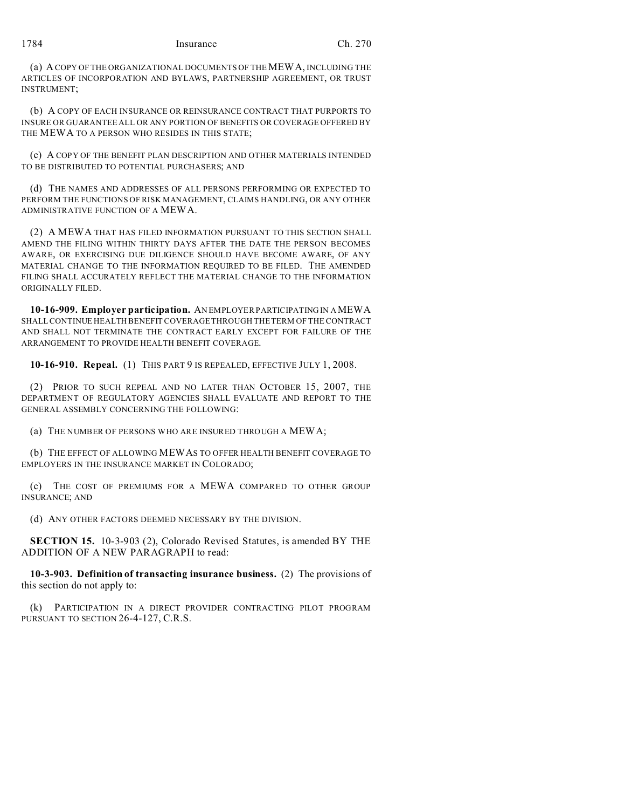(a) A COPY OF THE ORGANIZATIONAL DOCUMENTS OF THE MEWA, INCLUDING THE ARTICLES OF INCORPORATION AND BYLAWS, PARTNERSHIP AGREEMENT, OR TRUST INSTRUMENT;

(b) A COPY OF EACH INSURANCE OR REINSURANCE CONTRACT THAT PURPORTS TO INSURE OR GUARANTEE ALL OR ANY PORTION OF BENEFITS OR COVERAGE OFFERED BY THE MEWA TO A PERSON WHO RESIDES IN THIS STATE;

(c) A COPY OF THE BENEFIT PLAN DESCRIPTION AND OTHER MATERIALS INTENDED TO BE DISTRIBUTED TO POTENTIAL PURCHASERS; AND

(d) THE NAMES AND ADDRESSES OF ALL PERSONS PERFORMING OR EXPECTED TO PERFORM THE FUNCTIONS OF RISK MANAGEMENT, CLAIMS HANDLING, OR ANY OTHER ADMINISTRATIVE FUNCTION OF A MEWA.

(2) A MEWA THAT HAS FILED INFORMATION PURSUANT TO THIS SECTION SHALL AMEND THE FILING WITHIN THIRTY DAYS AFTER THE DATE THE PERSON BECOMES AWARE, OR EXERCISING DUE DILIGENCE SHOULD HAVE BECOME AWARE, OF ANY MATERIAL CHANGE TO THE INFORMATION REQUIRED TO BE FILED. THE AMENDED FILING SHALL ACCURATELY REFLECT THE MATERIAL CHANGE TO THE INFORMATION ORIGINALLY FILED.

**10-16-909. Employer participation.** AN EMPLOYER PARTICIPATING IN A MEWA SHALL CONTINUE HEALTH BENEFIT COVERAGE THROUGH THE TERM OF THE CONTRACT AND SHALL NOT TERMINATE THE CONTRACT EARLY EXCEPT FOR FAILURE OF THE ARRANGEMENT TO PROVIDE HEALTH BENEFIT COVERAGE.

**10-16-910. Repeal.** (1) THIS PART 9 IS REPEALED, EFFECTIVE JULY 1, 2008.

(2) PRIOR TO SUCH REPEAL AND NO LATER THAN OCTOBER 15, 2007, THE DEPARTMENT OF REGULATORY AGENCIES SHALL EVALUATE AND REPORT TO THE GENERAL ASSEMBLY CONCERNING THE FOLLOWING:

(a) THE NUMBER OF PERSONS WHO ARE INSURED THROUGH A MEWA;

(b) THE EFFECT OF ALLOWING MEWAS TO OFFER HEALTH BENEFIT COVERAGE TO EMPLOYERS IN THE INSURANCE MARKET IN COLORADO;

(c) THE COST OF PREMIUMS FOR A MEWA COMPARED TO OTHER GROUP INSURANCE; AND

(d) ANY OTHER FACTORS DEEMED NECESSARY BY THE DIVISION.

**SECTION 15.** 10-3-903 (2), Colorado Revised Statutes, is amended BY THE ADDITION OF A NEW PARAGRAPH to read:

**10-3-903. Definition of transacting insurance business.** (2) The provisions of this section do not apply to:

(k) PARTICIPATION IN A DIRECT PROVIDER CONTRACTING PILOT PROGRAM PURSUANT TO SECTION 26-4-127, C.R.S.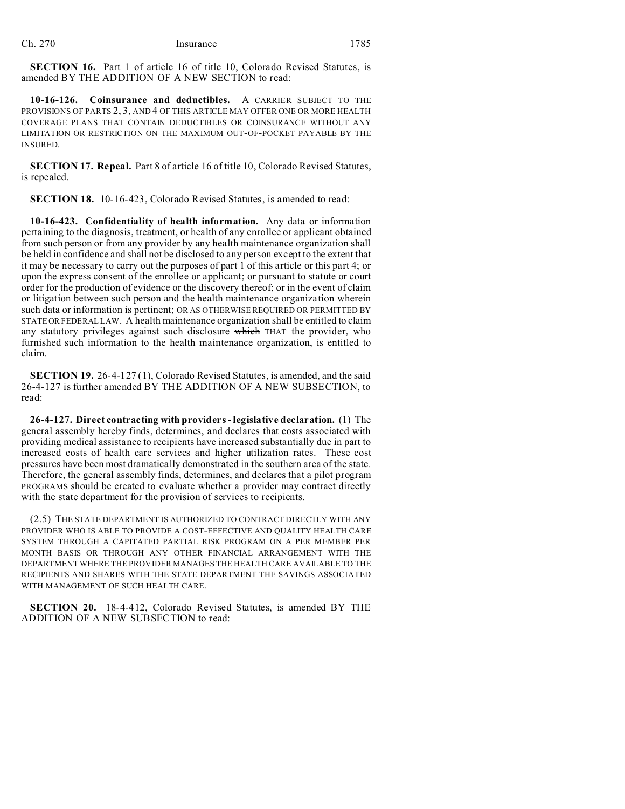**SECTION 16.** Part 1 of article 16 of title 10, Colorado Revised Statutes, is amended BY THE ADDITION OF A NEW SECTION to read:

**10-16-126. Coinsurance and deductibles.** A CARRIER SUBJECT TO THE PROVISIONS OF PARTS 2, 3, AND 4 OF THIS ARTICLE MAY OFFER ONE OR MORE HEALTH COVERAGE PLANS THAT CONTAIN DEDUCTIBLES OR COINSURANCE WITHOUT ANY LIMITATION OR RESTRICTION ON THE MAXIMUM OUT-OF-POCKET PAYABLE BY THE INSURED.

**SECTION 17. Repeal.** Part 8 of article 16 of title 10, Colorado Revised Statutes, is repealed.

**SECTION 18.** 10-16-423, Colorado Revised Statutes, is amended to read:

**10-16-423. Confidentiality of health information.** Any data or information pertaining to the diagnosis, treatment, or health of any enrollee or applicant obtained from such person or from any provider by any health maintenance organization shall be held in confidence and shall not be disclosed to any person except to the extent that it may be necessary to carry out the purposes of part 1 of this article or this part 4; or upon the express consent of the enrollee or applicant; or pursuant to statute or court order for the production of evidence or the discovery thereof; or in the event of claim or litigation between such person and the health maintenance organization wherein such data or information is pertinent; OR AS OTHERWISE REQUIRED OR PERMITTED BY STATE OR FEDERAL LAW. A health maintenance organization shall be entitled to claim any statutory privileges against such disclosure which THAT the provider, who furnished such information to the health maintenance organization, is entitled to claim.

**SECTION 19.** 26-4-127 (1), Colorado Revised Statutes, is amended, and the said 26-4-127 is further amended BY THE ADDITION OF A NEW SUBSECTION, to read:

**26-4-127. Direct contracting with providers - legislative declaration.** (1) The general assembly hereby finds, determines, and declares that costs associated with providing medical assistance to recipients have increased substantially due in part to increased costs of health care services and higher utilization rates. These cost pressures have been most dramatically demonstrated in the southern area of the state. Therefore, the general assembly finds, determines, and declares that  $\alpha$  pilot program PROGRAMS should be created to evaluate whether a provider may contract directly with the state department for the provision of services to recipients.

(2.5) THE STATE DEPARTMENT IS AUTHORIZED TO CONTRACT DIRECTLY WITH ANY PROVIDER WHO IS ABLE TO PROVIDE A COST-EFFECTIVE AND QUALITY HEALTH CARE SYSTEM THROUGH A CAPITATED PARTIAL RISK PROGRAM ON A PER MEMBER PER MONTH BASIS OR THROUGH ANY OTHER FINANCIAL ARRANGEMENT WITH THE DEPARTMENT WHERE THE PROVIDER MANAGES THE HEALTH CARE AVAILABLE TO THE RECIPIENTS AND SHARES WITH THE STATE DEPARTMENT THE SAVINGS ASSOCIATED WITH MANAGEMENT OF SUCH HEALTH CARE.

**SECTION 20.** 18-4-412, Colorado Revised Statutes, is amended BY THE ADDITION OF A NEW SUBSECTION to read: